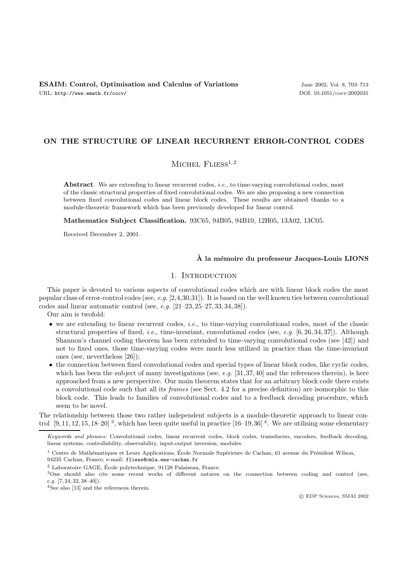# **ON THE STRUCTURE OF LINEAR RECURRENT ERROR-CONTROL CODES**

# MICHEL  $FLIESS^{1,2}$

Abstract. We are extending to linear recurrent codes, *i.e.*, to time-varying convolutional codes, most of the classic structural properties of fixed convolutional codes. We are also proposing a new connection between fixed convolutional codes and linear block codes. These results are obtained thanks to a module-theoretic framework which has been previously developed for linear control.

**Mathematics Subject Classification.** 93C65, 94B05, 94B10, 12H05, 13A02, 13C05.

Received December 2, 2001.

### **A la m´ ` emoire du professeur Jacques-Louis LIONS**

# 1. INTRODUCTION

This paper is devoted to various aspects of convolutional codes which are with linear block codes the most popular class of error-control codes (see, e.g. [2,4,30,31]). It is based on the well known ties between convolutional codes and linear automatic control (see, e.g.  $[21-23, 25-27, 33, 34, 38]$ ).

Our aim is twofold:

- $\bullet$  we are extending to linear recurrent codes, *i.e.*, to time-varying convolutional codes, most of the classic structural properties of fixed, *i.e.*, time-invariant, convolutional codes (see, *e.g.* [6, 26, 34, 37]). Although Shannon's channel coding theorem has been extended to time-varying convolutional codes (see [42]) and not to fixed ones, those time-varying codes were much less utilized in practice than the time-invariant ones (see, nevertheless [26]);
- the connection between fixed convolutional codes and special types of linear block codes, like cyclic codes, which has been the subject of many investigations (see,  $e.g.$  [31, 37, 40] and the references therein), is here approached from a new perspective. Our main theorem states that for an arbitrary block code there exists a convolutional code such that all its frames (see Sect. 4.2 for a precise definition) are isomorphic to this block code. This leads to families of convolutional codes and to a feedback decoding procedure, which seem to be novel.

The relationship between those two rather independent subjects is a module-theoretic approach to linear control  $[9, 11, 12, 15, 18-20]$ <sup>3</sup>, which has been quite useful in practice  $[16-19, 36]$ <sup>4</sup>. We are utilising some elementary

94235 Cachan, France; e-mail: fliess@cmla.ens-cachan.fr

Keywords and phrases: Convolutional codes, linear recurrent codes, block codes, transducers, encoders, feedback decoding, linear systems, controllability, observability, input-output inversion, modules.

 $1$  Centre de Mathématiques et Leurs Applications, École Normale Supérieure de Cachan, 61 avenue du Président Wilson,

 $^2$  Laboratoire GAGE, École polytechnique, 91128 Palaiseau, France.

<sup>3</sup>One should also cite some recent works of different natures on the connection between coding and control (see, e.g. [7, 24, 32, 38–40]).

<sup>4</sup>See also [13] and the references therein.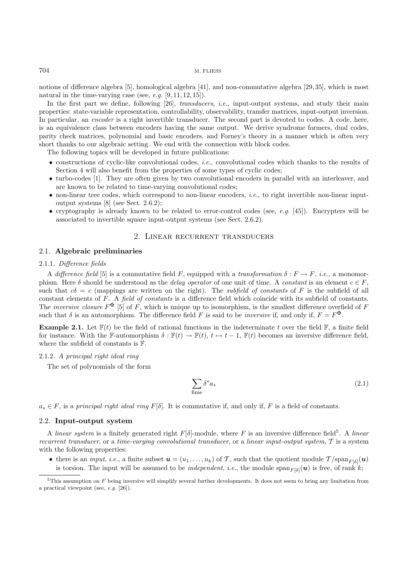### 704 M. FLIESS

notions of difference algebra [5], homological algebra [41], and non-commutative algebra [29, 35], which is most natural in the time-varying case (see, e.g.  $[9, 11, 12, 15]$ ).

In the first part we define, following  $[26]$ , *transducers*, *i.e.*, input-output systems, and study their main properties: state-variable representation, controllability, observability, transfer matrices, input-output inversion. In particular, an *encoder* is a right invertible transducer. The second part is devoted to codes. A code, here, is an equivalence class between encoders having the same output. We derive syndrome formers, dual codes, parity check matrices, polynomial and basic encoders, and Forney's theory in a manner which is often very short thanks to our algebraic setting. We end with the connection with block codes.

The following topics will be developed in future publications:

- constructions of cyclic-like convolutional codes, i.e., convolutional codes which thanks to the results of Section 4 will also benefit from the properties of some types of cyclic codes;
- turbo-codes [1]. They are often given by two convolutional encoders in parallel with an interleaver, and are known to be related to time-varying convolutional codes;
- $\bullet$  non-linear tree codes, which correspond to non-linear encoders, *i.e.*, to right invertible non-linear inputoutput systems [8] (see Sect. 2.6.2);
- cryptography is already known to be related to error-control codes (see,  $e.g.$  [45]). Encrypters will be associated to invertible square input-output systems (see Sect. 2.6.2).

# 2. Linear recurrent transducers

# 2.1. **Algebraic preliminaries**

## 2.1.1. Difference fields

A difference field [5] is a commutative field F, equipped with a transformation  $\delta : F \to F$ , i.e., a monomorphism. Here  $\delta$  should be understood as the *delay operator* of one unit of time. A constant is an element  $c \in F$ , such that  $c\delta = c$  (mappings are written on the right). The *subfield of constants* of F is the subfield of all constant elements of F. A field of constants is a difference field which coincide with its subfield of constants. The *inversive closure*  $F^{\mathbf{\Phi}}$  [5] of F, which is unique up to isomorphism, is the smallest difference overfield of F such that  $\delta$  is an automorphism. The difference field F is said to be *inversive* if, and only if,  $F = F^{\mathbf{F}}$ .

**Example 2.1.** Let  $\mathbb{F}(t)$  be the field of rational functions in the indeterminate t over the field  $\mathbb{F}$ , a finite field for instance. With the F-automorphism  $\delta : \mathbb{F}(t) \to \mathbb{F}(t), t \mapsto t - 1$ ,  $\mathbb{F}(t)$  becomes an inversive difference field, where the subfield of constants is F.

### 2.1.2. A principal right ideal ring

The set of polynomials of the form

$$
\sum_{\text{finite}} \delta^s a_s \tag{2.1}
$$

 $a_s \in F$ , is a principal right ideal ring  $F[\delta]$ . It is commutative if, and only if, F is a field of constants.

#### 2.2. **Input-output system**

A linear system is a finitely generated right  $F[\delta]$ -module, where F is an inversive difference field<sup>5</sup>. A linear recurrent transducer, or a time-varying convolutional transducer, or a linear input-output system,  $T$  is a system with the following properties:

• there is an *input, i.e.*, a finite subset  $u = (u_1, \ldots, u_k)$  of T, such that the quotient module  $T/\text{span}_{F[\delta]}(u)$ is torsion. The input will be assumed to be *independent*, *i.e.*, the module  $span_{F[\delta]}(u)$  is free, of rank k;

 $5$ This assumption on F being inversive will simplify several further developments. It does not seem to bring any limitation from a practical viewpoint (see, e.g. [26]).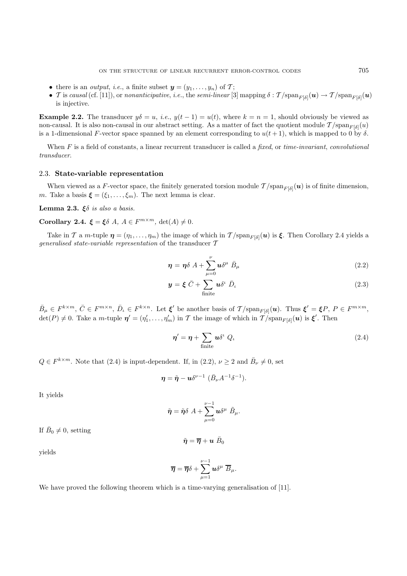- there is an *output*, *i.e.*, a finite subset  $y = (y_1, \ldots, y_n)$  of  $\mathcal{T}$ ;
- T is causal (cf. [11]), or nonanticipative, i.e., the semi-linear [3] mapping  $\delta : \mathcal{T}/\text{span}_{F[\delta]}(\boldsymbol{u}) \to \mathcal{T}/\text{span}_{F[\delta]}(\boldsymbol{u})$ is injective.

**Example 2.2.** The transducer  $y\delta = u$ , *i.e.*,  $y(t-1) = u(t)$ , where  $k = n = 1$ , should obviously be viewed as non-causal. It is also non-causal in our abstract setting. As a matter of fact the quotient module  $\mathcal{T}/\text{span}_{F[\delta]}(u)$ is a 1-dimensional F-vector space spanned by an element corresponding to  $u(t+1)$ , which is mapped to 0 by  $\delta$ .

When  $F$  is a field of constants, a linear recurrent transducer is called a fixed, or time-invariant, convolutional transducer.

### 2.3. **State-variable representation**

When viewed as a F-vector space, the finitely generated torsion module  $\mathcal{T}/\text{span}_{F[\delta]}(u)$  is of finite dimension, *m*. Take a basis  $\boldsymbol{\xi} = (\xi_1, \ldots, \xi_m)$ . The next lemma is clear.

**Lemma 2.3.** *ξ*δ is also a basis.

**Corollary 2.4.**  $\xi = \xi \delta A$ ,  $A \in F^{m \times m}$ ,  $\det(A) \neq 0$ .

Take in T a m-tuple  $\eta = (\eta_1, \dots, \eta_m)$  the image of which in  $\mathcal{T}/\text{span}_{F[\delta]}(u)$  is  $\xi$ . Then Corollary 2.4 yields a generalised state-variable representation of the transducer  $\mathcal T$ 

$$
\eta = \eta \delta A + \sum_{\mu=0}^{\nu} u \delta^{\mu} \bar{B}_{\mu}
$$
\n(2.2)

$$
\mathbf{y} = \boldsymbol{\xi} \; \bar{C} + \sum_{\text{finite}} \boldsymbol{u} \delta^{\iota} \; \bar{D}_{\iota} \tag{2.3}
$$

 $\bar{B}_{\mu} \in F^{k \times m}, \ \bar{C} \in F^{m \times n}, \ \bar{D}_{\iota} \in F^{k \times n}$ . Let  $\xi'$  be another basis of  $\mathcal{T}/\text{span}_{F[\delta]}(u)$ . Thus  $\xi' = \xi P, P \in F^{m \times m}$ ,  $\det(P) \neq 0$ . Take a *m*-tuple  $\eta' = (\eta'_1, \ldots, \eta'_m)$  in T the image of which in  $\mathcal{T}/\text{span}_{F[\delta]}(u)$  is  $\xi'$ . Then

$$
\eta' = \eta + \sum_{\text{finite}} u \delta^{\iota} Q_{\iota}
$$
 (2.4)

 $Q \in F^{k \times m}$ . Note that (2.4) is input-dependent. If, in (2.2),  $\nu \geq 2$  and  $\bar{B}_{\nu} \neq 0$ , set

$$
\boldsymbol{\eta} = \tilde{\boldsymbol{\eta}} - \boldsymbol{u} \delta^{\nu-1} \; (\bar{B}_{\nu} A^{-1} \delta^{-1}).
$$

It yields

$$
\tilde{\eta} = \tilde{\eta} \delta A + \sum_{\mu=0}^{\nu-1} u \delta^{\mu} \tilde{B}_{\mu}.
$$

If  $\bar{B}_0 \neq 0$ , setting

$$
\tilde{\bm{\eta}} = \overline{\bm{\eta}} + \bm{u} \; \bar{B}_0
$$

yields

$$
\overline{\boldsymbol{\eta}}=\overline{\boldsymbol{\eta}}\delta+\sum_{\mu=1}^{\nu-1}\boldsymbol{u}\delta^{\mu}\;\overline{B}_{\mu}.
$$

We have proved the following theorem which is a time-varying generalisation of [11].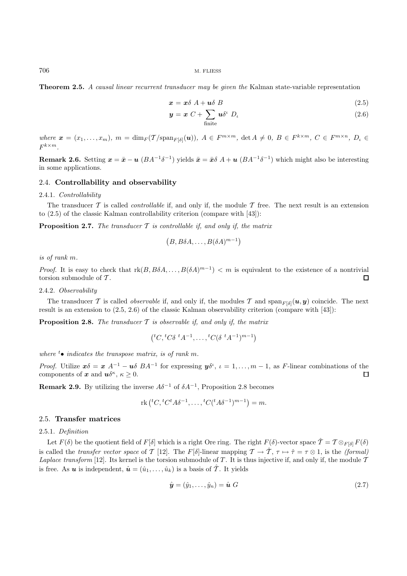706 M. FLIESS

**Theorem 2.5.** A causal linear recurrent transducer may be given the Kalman state-variable representation

$$
x = x\delta A + u\delta B \tag{2.5}
$$

$$
\mathbf{y} = \mathbf{x} \ C + \sum_{\text{finite}} \mathbf{u} \delta^{\iota} \ D_{\iota} \tag{2.6}
$$

where  $\mathbf{x} = (x_1, \ldots, x_m)$ ,  $m = \dim_F(\mathcal{T}/\mathrm{span}_{F[\delta]}(\mathbf{u}))$ ,  $A \in F^{m \times m}$ ,  $\det A \neq 0$ ,  $B \in F^{k \times m}$ ,  $C \in F^{m \times n}$ ,  $D_L \in$  $F^{k \times m}$ 

**Remark 2.6.** Setting  $x = \bar{x} - u$  ( $BA^{-1}\delta^{-1}$ ) yields  $\bar{x} = \bar{x}\delta A + u$  ( $BA^{-1}\delta^{-1}$ ) which might also be interesting in some applications.

### 2.4. **Controllability and observability**

#### 2.4.1. Controllability

The transducer  $\mathcal T$  is called *controllable* if, and only if, the module  $\mathcal T$  free. The next result is an extension to (2.5) of the classic Kalman controllability criterion (compare with [43]):

**Proposition 2.7.** The transducer  $\mathcal T$  is controllable if, and only if, the matrix

$$
(B, B\delta A, \dots, B(\delta A)^{m-1})
$$

is of rank m.

*Proof.* It is easy to check that  $rk(B, B\delta A, \ldots, B(\delta A)^{m-1}) < m$  is equivalent to the existence of a nontrivial torsion submodule of  $\mathcal T$ .  $\Box$ 

2.4.2. Observability

The transducer T is called *observable* if, and only if, the modules T and  $\text{span}_{F[\delta]}(u, y)$  coincide. The next result is an extension to (2.5, 2.6) of the classic Kalman observability criterion (compare with [43]):

**Proposition 2.8.** The transducer  $\mathcal T$  is observable if, and only if, the matrix

$$
({}^{t}C,{}^{t}C\delta\ {}^{t}A^{-1},\ldots,{}^{t}C(\delta\ {}^{t}A^{-1})^{m-1})
$$

where  $t_{\bullet}$  indicates the transpose matrix, is of rank m.

Proof. Utilize  $x\delta = x A^{-1} - u\delta B A^{-1}$  for expressing  $y\delta^i$ ,  $i = 1, ..., m-1$ , as F-linear combinations of the components of *x* and  $u\delta^{\kappa}$ ,  $\kappa \geq 0$ .  $\Box$ 

**Remark 2.9.** By utilizing the inverse  $A\delta^{-1}$  of  $\delta A^{-1}$ , Proposition 2.8 becomes

$$
rk ({}^{t}C, {}^{t}C^{t}A\delta^{-1}, \ldots, {}^{t}C({}^{t}A\delta^{-1})^{m-1}) = m.
$$

### 2.5. **Transfer matrices**

# 2.5.1. Definition

Let  $F(\delta)$  be the quotient field of  $F[\delta]$  which is a right Ore ring. The right  $F(\delta)$ -vector space  $\hat{\mathcal{T}} = \mathcal{T} \otimes_{F[\delta]} F(\delta)$ is called the transfer vector space of T [12]. The F[δ]-linear mapping  $\mathcal{T} \to \hat{\mathcal{T}}$ ,  $\tau \mapsto \hat{\tau} = \tau \otimes 1$ , is the (formal) Laplace transform [12]. Its kernel is the torsion submodule of T. It is thus injective if, and only if, the module  $\mathcal T$ is free. As *u* is independent,  $\hat{\mathbf{u}} = (\hat{u}_1, \dots, \hat{u}_k)$  is a basis of  $\hat{\mathcal{T}}$ . It yields

$$
\hat{\boldsymbol{y}} = (\hat{y}_1, \dots, \hat{y}_n) = \hat{\boldsymbol{u}} \; G \tag{2.7}
$$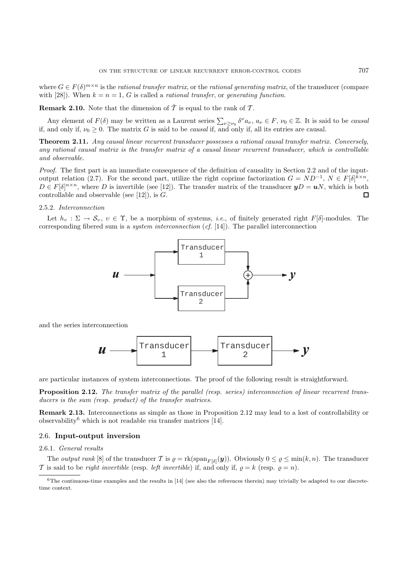where  $G \in F(\delta)^{m \times n}$  is the rational transfer matrix, or the rational generating matrix, of the transducer (compare with [28]). When  $k = n = 1$ , G is called a *rational transfer*, or *generating function*.

**Remark 2.10.** Note that the dimension of  $\hat{\mathcal{T}}$  is equal to the rank of  $\mathcal{T}$ .

Any element of  $F(\delta)$  may be written as a Laurent series  $\sum_{\nu \geq \nu_0} \delta^{\nu} a_{\nu}$ ,  $a_{\nu} \in F$ ,  $\nu_0 \in \mathbb{Z}$ . It is said to be causal if, and only if,  $\nu_0 \geq 0$ . The matrix G is said to be *causal* if, and only if, all its entries are causal.

**Theorem 2.11.** Any causal linear recurrent transducer possesses a rational causal transfer matrix. Conversely, any rational causal matrix is the transfer matrix of a causal linear recurrent transducer, which is controllable and observable.

Proof. The first part is an immediate consequence of the definition of causality in Section 2.2 and of the inputoutput relation (2.7). For the second part, utilize the right coprime factorization  $G = ND^{-1}$ ,  $N \in F[\delta]^{k \times n}$ ,  $D \in F[\delta]^{n \times n}$ , where D is invertible (see [12]). The transfer matrix of the transducer  $yD = uN$ , which is both controllable and observable (see  $[12]$ ), is  $G$ . П

## 2.5.2. Interconnection

Let  $h_v : \Sigma \to \mathcal{S}_v, v \in \Upsilon$ , be a morphism of systems, *i.e.*, of finitely generated right  $F[\delta]$ -modules. The corresponding fibered sum is a system interconnection (cf. [14]). The parallel interconnection



and the series interconnection



are particular instances of system interconnections. The proof of the following result is straightforward.

**Proposition 2.12.** The transfer matrix of the parallel (resp. series) interconnection of linear recurrent transducers is the sum (resp. product) of the transfer matrices.

**Remark 2.13.** Interconnections as simple as those in Proposition 2.12 may lead to a lost of controllability or observability<sup>6</sup> which is not readable *via* transfer matrices [14].

### 2.6. **Input-output inversion**

# 2.6.1. General results

The *output rank* [8] of the transducer T is  $\rho = \text{rk}(\text{span}_{F[\delta]}(\mathbf{y}))$ . Obviously  $0 \leq \rho \leq \min(k, n)$ . The transducer T is said to be *right invertible* (resp. *left invertible*) if, and only if,  $\rho = k$  (resp.  $\rho = n$ ).

 $6$ The continuous-time examples and the results in  $[14]$  (see also the references therein) may trivially be adapted to our discretetime context.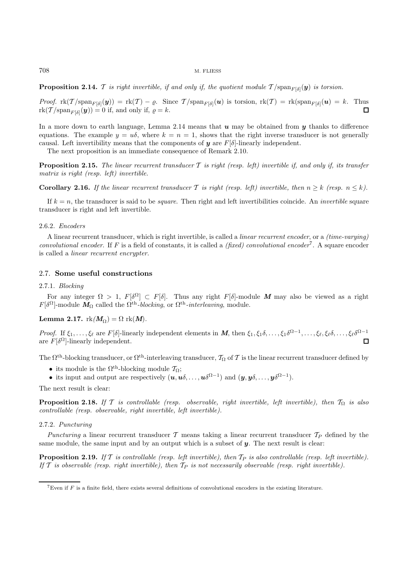#### 708 M. FLIESS

**Proposition 2.14.** T is right invertible, if and only if, the quotient module  $T/\text{span}_{F[\delta]}(y)$  is torsion.

Proof.  $\text{rk}(\mathcal{T}/\text{span}_{F[\delta]}(\boldsymbol{y})) = \text{rk}(\mathcal{T}) - \varrho$ . Since  $\mathcal{T}/\text{span}_{F[\delta]}(\boldsymbol{u})$  is torsion,  $\text{rk}(\mathcal{T}) = \text{rk}(\text{span}_{F[\delta]}(\boldsymbol{u}) = k$ . Thus  $\text{rk}(\mathcal{T}/\text{span}_{F[\delta]}(\boldsymbol{y})) = 0$  if, and only if,  $\varrho = k$ .  $\Box$ 

In a more down to earth language, Lemma 2.14 means that *u* may be obtained from *y* thanks to difference equations. The example  $y = u\delta$ , where  $k = n = 1$ , shows that the right inverse transducer is not generally causal. Left invertibility means that the components of  $y$  are  $F[\delta]$ -linearly independent.

The next proposition is an immediate consequence of Remark 2.10.

**Proposition 2.15.** The linear recurrent transducer  $T$  is right (resp. left) invertible if, and only if, its transfer matrix is right (resp. left) invertible.

**Corollary 2.16.** If the linear recurrent transducer T is right (resp. left) invertible, then  $n \geq k$  (resp.  $n \leq k$ ).

If  $k = n$ , the transducer is said to be *square*. Then right and left invertibilities coincide. An *invertible* square transducer is right and left invertible.

#### 2.6.2. Encoders

A linear recurrent transducer, which is right invertible, is called a linear recurrent encoder, or a (time-varying) convolutional encoder. If F is a field of constants, it is called a (fixed) convolutional encoder<sup>7</sup>. A square encoder is called a linear recurrent encrypter.

## 2.7. **Some useful constructions**

### 2.7.1. Blocking

For any integer  $\Omega > 1$ ,  $F[\delta^{\Omega}] \subset F[\delta]$ . Thus any right  $F[\delta]$ -module M may also be viewed as a right  $F[\delta^{\Omega}]$ -module  $\mathbf{M}_{\Omega}$  called the  $\Omega^{\text{th}}$ -blocking, or  $\Omega^{\text{th}}$ -interleaving, module.

# **Lemma 2.17.**  $rk(M_{\Omega}) = \Omega$   $rk(M)$ .

*Proof.* If  $\xi_1,\ldots,\xi_\ell$  are F[δ]-linearly independent elements in *M*, then  $\xi_1,\xi_1\delta,\ldots,\xi_1\delta^{\Omega-1},\ldots,\xi_\ell,\xi_\ell\delta,\ldots,\xi_\ell\delta^{\Omega-1}$ are  $F[\delta^{\Omega}]$ -linearly independent.  $\Box$ 

The  $\Omega^{\text{th}}$ -blocking transducer, or  $\Omega^{\text{th}}$ -interleaving transducer,  $\mathcal{T}_{\Omega}$  of  $\mathcal{T}$  is the linear recurrent transducer defined by

- its module is the  $\Omega^{\text{th}}$ -blocking module  $\mathcal{T}_{\Omega}$ ;
- its input and output are respectively  $(u, u\delta, \ldots, u\delta^{\Omega-1})$  and  $(y, y\delta, \ldots, y\delta^{\Omega-1})$ .

The next result is clear:

**Proposition 2.18.** If T is controllable (resp. observable, right invertible, left invertible), then  $T_{\Omega}$  is also controllable (resp. observable, right invertible, left invertible).

### 2.7.2. Puncturing

Puncturing a linear recurrent transducer  $\mathcal T$  means taking a linear recurrent transducer  $\mathcal T_P$  defined by the same module, the same input and by an output which is a subset of *y*. The next result is clear:

**Proposition 2.19.** If  $T$  is controllable (resp. left invertible), then  $T_P$  is also controllable (resp. left invertible). If T is observable (resp. right invertible), then  $T_P$  is not necessarily observable (resp. right invertible).

<sup>&</sup>lt;sup>7</sup>Even if F is a finite field, there exists several definitions of convolutional encoders in the existing literature.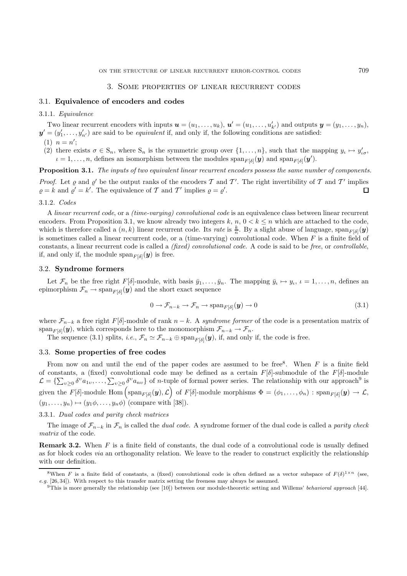### 3. Some properties of linear recurrent codes

# 3.1. **Equivalence of encoders and codes**

### 3.1.1. Equivalence

Two linear recurrent encoders with inputs  $u = (u_1, \ldots, u_k)$ ,  $u' = (u_1, \ldots, u'_{k'})$  and outputs  $y = (y_1, \ldots, y_n)$ ,  $y' = (y'_1, \ldots, y'_{n'})$  are said to be *equivalent* if, and only if, the following conditions are satisfied:  $(1)$   $n = n';$ 

(2) there exists  $\sigma \in S_n$ , where  $S_n$  is the symmetric group over  $\{1,\ldots,n\}$ , such that the mapping  $y_\iota \mapsto y'_{\iota\sigma}$ ,  $\iota = 1, \ldots, n$ , defines an isomorphism between the modules  $\text{span}_{F[\delta]}(\bm{y})$  and  $\text{span}_{F[\delta]}(\bm{y}')$ .

**Proposition 3.1.** The inputs of two equivalent linear recurrent encoders possess the same number of components.

*Proof.* Let  $\varrho$  and  $\varrho'$  be the output ranks of the encoders T and T'. The right invertibility of T and T' implies  $\rho = k$  and  $\rho' = k'$ . The equivalence of T and T' implies  $\rho = \rho'$ .  $\Box$ 

### 3.1.2. Codes

A linear recurrent code, or a (time-varying) convolutional code is an equivalence class between linear recurrent encoders. From Proposition 3.1, we know already two integers k,  $n, 0 \lt k \leq n$  which are attached to the code, which is therefore called a  $(n, k)$  linear recurrent code. Its *rate* is  $\frac{k}{n}$ . By a slight abuse of language, span<sub>F[ $\delta$ ]</sub> $(y)$ is sometimes called a linear recurrent code, or a (time-varying) convolutional code. When  $F$  is a finite field of constants, a linear recurrent code is called a (fixed) convolutional code. A code is said to be free, or controllable, if, and only if, the module  $\text{span}_{F[\delta]}(\boldsymbol{y})$  is free.

# 3.2. **Syndrome formers**

Let  $\mathcal{F}_n$  be the free right F[δ]-module, with basis  $\bar{y}_1,\ldots,\bar{y}_n$ . The mapping  $\bar{y}_i \mapsto y_i$ ,  $i = 1,\ldots,n$ , defines an epimorphism  $\mathcal{F}_n \to \text{span}_{F[\delta]}(\mathbf{y})$  and the short exact sequence

$$
0 \to \mathcal{F}_{n-k} \to \mathcal{F}_n \to \text{span}_{F[\delta]}(\mathbf{y}) \to 0
$$
\n(3.1)

where  $\mathcal{F}_{n-k}$  a free right F[ $\delta$ ]-module of rank  $n-k$ . A syndrome former of the code is a presentation matrix of span<sub>F[δ]</sub>(*y*), which corresponds here to the monomorphism  $\mathcal{F}_{n-k} \to \mathcal{F}_n$ .

The sequence (3.1) splits, *i.e.*,  $\mathcal{F}_n \simeq \mathcal{F}_{n-k} \oplus \text{span}_{F[\delta]}(\mathbf{y})$ , if, and only if, the code is free.

# 3.3. **Some properties of free codes**

From now on and until the end of the paper codes are assumed to be free. When  $F$  is a finite field of constants, a (fixed) convolutional code may be defined as a certain  $F[\delta]$ -submodule of the  $F[\delta]$ -module  $\mathcal{L} = \{\sum_{v\geq 0} \delta^v a_{1v}, \ldots, \sum_{v\geq 0} \delta^v a_{nv}\}\$  of *n*-tuple of formal power series. The relationship with our approach<sup>9</sup> is given the  $F[\delta]$ -module  $\text{Hom}_{F[\delta]}(\mathbf{y}), \mathcal{L}$  of  $F[\delta]$ -module morphisms  $\Phi = (\phi_1, \ldots, \phi_n) : \text{span}_{F[\delta]}(\mathbf{y}) \to \mathcal{L}$ ,  $(y_1,\ldots,y_n)\mapsto (y_1\phi,\ldots,y_n\phi)$  (compare with [38]).

## 3.3.1. Dual codes and parity check matrices

The image of  $\mathcal{F}_{n-k}$  in  $\mathcal{F}_n$  is called the *dual code*. A syndrome former of the dual code is called a *parity check* matrix of the code.

**Remark 3.2.** When F is a finite field of constants, the dual code of a convolutional code is usually defined as for block codes via an orthogonality relation. We leave to the reader to construct explicitly the relationship with our definition.

<sup>&</sup>lt;sup>8</sup>When F is a finite field of constants, a (fixed) convolutional code is often defined as a vector subspace of  $F(\delta)^{1\times n}$  (see,  $e.g.$  [26, 34]). With respect to this transfer matrix setting the freeness may always be assumed.

 $9$ This is more generally the relationship (see [10]) between our module-theoretic setting and Willems' behavioral approach [44].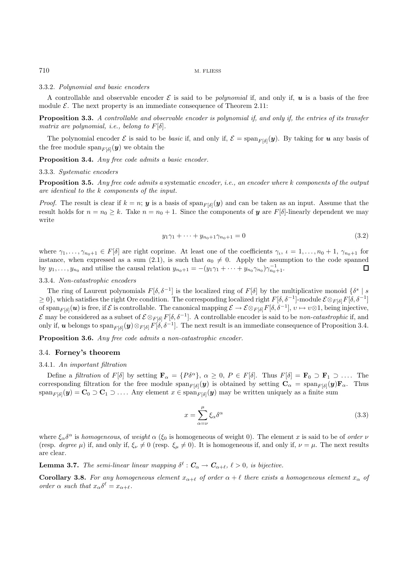### 3.3.2. Polynomial and basic encoders

A controllable and observable encoder  $\mathcal E$  is said to be *polynomial* if, and only if,  $u$  is a basis of the free module  $\mathcal{E}$ . The next property is an immediate consequence of Theorem 2.11:

**Proposition 3.3.** A controllable and observable encoder is polynomial if, and only if, the entries of its transfer matrix are polynomial, i.e., belong to  $F[\delta]$ .

The polynomial encoder  $\mathcal E$  is said to be *basic* if, and only if,  $\mathcal E = \text{span}_{F[\delta]}(\mathbf y)$ . By taking for *u* any basis of the free module span<sub> $F[\delta](y)$ </sub> we obtain the

**Proposition 3.4.** Any free code admits a basic encoder.

#### 3.3.3. Systematic encoders

**Proposition 3.5.** Any free code admits a systematic encoder, i.e., an encoder where k components of the output are identical to the k components of the input.

*Proof.* The result is clear if  $k = n$ ; **y** is a basis of span<sub>F( $\delta$ 1)</sub> (**y**) and can be taken as an input. Assume that the result holds for  $n = n_0 \ge k$ . Take  $n = n_0 + 1$ . Since the components of *y* are  $F[\delta]$ -linearly dependent we may write

$$
y_1 \gamma_1 + \dots + y_{n_0 + 1} \gamma_{n_0 + 1} = 0 \tag{3.2}
$$

where  $\gamma_1,\ldots,\gamma_{n_0+1} \in F[\delta]$  are right coprime. At least one of the coefficients  $\gamma_i, \iota = 1,\ldots,n_0+1, \gamma_{n_0+1}$  for instance, when expressed as a sum (2.1), is such that  $a_0 \neq 0$ . Apply the assumption to the code spanned by  $y_1, \ldots, y_{n_0}$  and utilise the causal relation  $y_{n_0+1} = -(y_1\gamma_1 + \cdots + y_{n_0}\gamma_{n_0})\gamma_{n_0+1}^{-1}$ . П

# 3.3.4. Non-catastrophic encoders

The ring of Laurent polynomials  $F[\delta, \delta^{-1}]$  is the localized ring of  $F[\delta]$  by the multiplicative monoid  $\{\delta^s | s$  $\geq 0$ , which satisfies the right Ore condition. The corresponding localized right  $F[\delta, \delta^{-1}]$ -module  $\mathcal{E} \otimes_{F[\delta]} F[\delta, \delta^{-1}]$ of span<sub>F( $\delta$ </sub>) is free, if  $\mathcal E$  is controllable. The canonical mapping  $\mathcal E \to \mathcal E \otimes_{F[\delta]} F[\delta, \delta^{-1}], v \mapsto v \otimes 1$ , being injective, E may be considered as a subset of  $\mathcal{E} \otimes_{F[\delta]} F[\delta, \delta^{-1}]$ . A controllable encoder is said to be *non-catastrophic* if, and only if, *u* belongs to span<sub>F[δ]</sub>( $y$ )⊗<sub>F[δ]</sub>F[ $\delta$ ,  $\delta$ <sup>-1</sup>]. The next result is an immediate consequence of Proposition 3.4.

**Proposition 3.6.** Any free code admits a non-catastrophic encoder.

#### 3.4. **Forney's theorem**

### 3.4.1. An important filtration

Define a filtration of  $F[\delta]$  by setting  $\mathbf{F}_{\alpha} = \{P\delta^{\alpha}\}, \alpha \geq 0, P \in F[\delta]$ . Thus  $F[\delta] = \mathbf{F}_0 \supset \mathbf{F}_1 \supset \dots$  The corresponding filtration for the free module  $\text{span}_{F[\delta]}(\mathbf{y})$  is obtained by setting  $\mathbf{C}_{\alpha} = \text{span}_{F[\delta]}(\mathbf{y})\mathbf{F}_{\alpha}$ . Thus  $span_{F[\delta]}(\mathbf{y}) = \mathbf{C}_0 \supset \mathbf{C}_1 \supset \ldots$  Any element  $x \in span_{F[\delta]}(\mathbf{y})$  may be written uniquely as a finite sum

$$
x = \sum_{\alpha=\nu}^{\mu} \xi_{\alpha} \delta^{\alpha} \tag{3.3}
$$

where  $\xi_\alpha \delta^\alpha$  is homogeneous, of weight  $\alpha$  ( $\xi_0$  is homogeneous of weight 0). The element x is said to be of order  $\nu$ (resp. degree  $\mu$ ) if, and only if,  $\xi_{\nu} \neq 0$  (resp.  $\xi_{\mu} \neq 0$ ). It is homogeneous if, and only if,  $\nu = \mu$ . The next results are clear.

**Lemma 3.7.** The semi-linear linear mapping  $\delta^{\ell}: \mathbf{C}_{\alpha} \to \mathbf{C}_{\alpha+\ell}, \ell > 0$ , is bijective.

**Corollary 3.8.** For any homogeneous element  $x_{\alpha+\ell}$  of order  $\alpha+\ell$  there exists a homogeneous element  $x_{\alpha}$  of order  $\alpha$  such that  $x_{\alpha} \delta^{\ell} = x_{\alpha+\ell}$ .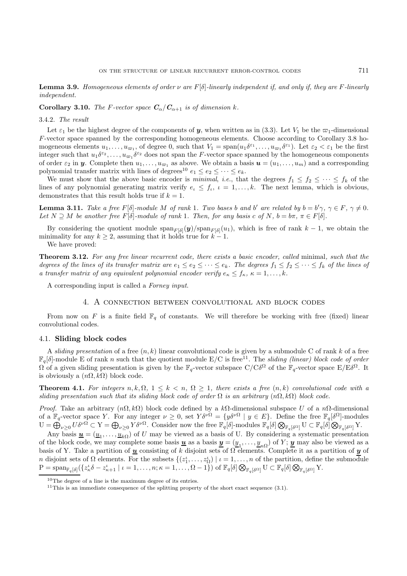**Lemma 3.9.** Homogeneous elements of order  $\nu$  are  $F[\delta]$ -linearly independent if, and only if, they are F-linearly independent.

**Corollary 3.10.** The F-vector space  $C_{\alpha}/C_{\alpha+1}$  is of dimension k.

#### 3.4.2. The result

Let  $\varepsilon_1$  be the highest degree of the components of *y*, when written as in (3.3). Let  $V_1$  be the  $\varpi_1$ -dimensional F-vector space spanned by the corresponding homogeneous elements. Choose according to Corollary 3.8 homogeneous elements  $u_1, \ldots, u_{\varpi_1}$ , of degree 0, such that  $V_1 = \text{span}(u_1 \delta^{\varepsilon_1}, \ldots, u_{\varpi_1} \delta^{\varepsilon_1})$ . Let  $\varepsilon_2 < \varepsilon_1$  be the first integer such that  $u_1 \delta^{\varepsilon_2}$ ,...,  $u_{\varpi} \delta^{\varepsilon_2}$  does not span the F-vector space spanned by the homogeneous components of order  $\varepsilon_2$  in *y*. Complete then  $u_1, \ldots, u_m$  as above. We obtain a basis  $u = (u_1, \ldots, u_m)$  and a corresponding polynomial transfer matrix with lines of degrees<sup>10</sup>  $e_1 \le e_2 \le \cdots \le e_k$ .

We must show that the above basic encoder is minimal, i.e., that the degrees  $f_1 \leq f_2 \leq \cdots \leq f_k$  of the lines of any polynomial generating matrix verify  $e_i \leq f_i$ ,  $i = 1, \ldots, k$ . The next lemma, which is obvious, demonstrates that this result holds true if  $k = 1$ .

**Lemma 3.11.** Take a free  $F[\delta]$ -module M of rank 1. Two bases b and b' are related by  $b = b' \gamma$ ,  $\gamma \in F$ ,  $\gamma \neq 0$ . Let  $N \supseteq M$  be another free  $F[\delta]$ -module of rank 1. Then, for any basis c of N,  $b = b\pi$ ,  $\pi \in F[\delta]$ .

By considering the quotient module  $\text{span}_{F[\delta]}(\mathbf{y})/\text{span}_{F[\delta]}(u_1)$ , which is free of rank  $k-1$ , we obtain the minimality for any  $k > 2$ , assuming that it holds true for  $k - 1$ .

We have proved:

**Theorem 3.12.** For any free linear recurrent code, there exists a basic encoder, called minimal, such that the degrees of the lines of its transfer matrix are  $e_1 \leq e_2 \leq \cdots \leq e_k$ . The degrees  $f_1 \leq f_2 \leq \cdots \leq f_k$  of the lines of a transfer matrix of any equivalent polynomial encoder verify  $e_{\kappa} \leq f_{\kappa}, \kappa = 1, \ldots, k$ .

A corresponding input is called a Forney input.

## 4. A connection between convolutional and block codes

From now on F is a finite field  $\mathbb{F}_q$  of constants. We will therefore be working with free (fixed) linear convolutional codes.

### 4.1. **Sliding block codes**

A sliding presentation of a free  $(n, k)$  linear convolutional code is given by a submodule C of rank k of a free  $\mathbb{F}_q[\delta]$ -module E of rank n such that the quotient module E/C is free<sup>11</sup>. The sliding (linear) block code of order  $\Omega$  of a given sliding presentation is given by the  $\mathbb{F}_q$ -vector subspace  $C/C\delta^{\Omega}$  of the  $\mathbb{F}_q$ -vector space  $E/E\delta^{\Omega}$ . It is obviously a  $(n\Omega, k\Omega)$  block code.

**Theorem 4.1.** For integers  $n, k, \Omega, 1 \leq k < n, \Omega \geq 1$ , there exists a free  $(n, k)$  convolutional code with a sliding presentation such that its sliding block code of order  $\Omega$  is an arbitrary  $(n\Omega, k\Omega)$  block code.

Proof. Take an arbitrary  $(n\Omega, k\Omega)$  block code defined by a kΩ-dimensional subspace U of a nΩ-dimensional of a  $\mathbb{F}_q$ -vector space Y. For any integer  $\nu \geq 0$ , set  $Y \delta^{\nu \Omega} = \{y \delta^{\nu \Omega} \mid y \in E\}$ . Define the free  $\mathbb{F}_q[\delta^{\Omega}]$ -modules  $U = \bigoplus_{\nu \geq 0} U \delta^{\nu \Omega} \subset Y = \bigoplus_{\nu \geq 0} Y \delta^{\nu \Omega}$ . Consider now the free  $\mathbb{F}_q[\delta]$ -modules  $\mathbb{F}_q[\delta] \bigotimes_{\mathbb{F}_q[\delta^{\Omega}]} U \subset \mathbb{F}_q[\delta] \bigotimes_{\mathbb{F}_q[\delta^{\Omega}]} Y$ .

Any basis  $\underline{\mathbf{u}} = (\underline{u}_1, \dots, \underline{u}_k)$  of U may be viewed as a basis of U. By considering a systematic presentation of the block code, we may complete some basis  $\underline{u}$  as a basis  $\underline{y} = (\underline{y}_1, \dots, \underline{y}_{n\Omega})$  of Y;  $\underline{y}$  may also be viewed as a basis of Y. Take a partition of  $\underline{u}$  consisting of k disjoint sets of  $\Omega$  elements. Complete it as a partition of  $y$  of n disjoint sets of  $\Omega$  elements. For the subsets  $\{(z_1^i, \ldots, z_{\Omega}^i) \mid i = 1, \ldots, n$  of the partition, define the submodule  $P = \text{span}_{\mathbb{F}_q[\delta]}(\{z_\kappa^{\iota}\delta - z_{\kappa+1}^{\iota} \mid \iota = 1,\ldots,n; \kappa = 1,\ldots,\Omega-1\}) \text{ of } \mathbb{F}_q[\delta] \bigotimes_{\mathbb{F}_q[\delta^{\Omega}]} U \subset \mathbb{F}_q[\delta] \bigotimes_{\mathbb{F}_q[\delta^{\Omega}]} Y.$ 

<sup>10</sup>The degree of a line is the maximum degree of its entries.

<sup>&</sup>lt;sup>11</sup>This is an immediate consequence of the splitting property of the short exact sequence  $(3.1)$ .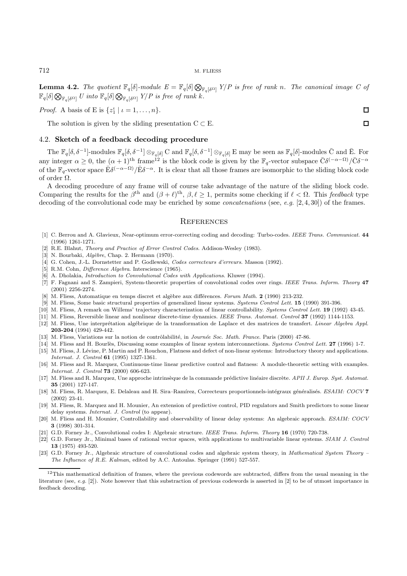**Lemma 4.2.** The quotient  $\mathbb{F}_q[\delta]$ -module  $E = \mathbb{F}_q[\delta] \bigotimes_{\mathbb{F}_q[\delta^{\Omega}]} Y/P$  is free of rank n. The canonical image C of  $\mathbb{F}_q[\delta] \bigotimes_{\mathbb{F}_q[\delta^{\Omega}]} U \text{ into } \mathbb{F}_q[\delta] \bigotimes_{\mathbb{F}_q[\delta^{\Omega}]} Y/P \text{ is free of rank } k.$ 

*Proof.* A basis of E is  $\{z_1^{\iota} \mid \iota = 1, \ldots, n\}.$ 

The solution is given by the sliding presentation  $C \subset E$ .

# 4.2. **Sketch of a feedback decoding procedure**

The  $\mathbb{F}_q[\delta, \delta^{-1}]$ -modules  $\mathbb{F}_q[\delta, \delta^{-1}] \otimes_{\mathbb{F}_q[\delta]} C$  and  $\mathbb{F}_q[\delta, \delta^{-1}] \otimes_{\mathbb{F}_q[\delta]} E$  may be seen as  $\mathbb{F}_q[\delta]$ -modules  $\bar{C}$  and  $\bar{E}$ . For any integer  $\alpha \geq 0$ , the  $(\alpha + 1)$ <sup>th</sup> frame<sup>12</sup> is the block code is given by the  $\mathbb{F}_q$ -vector subspace  $\bar{C}\delta^{(-\alpha - \Omega)}/\bar{C}\delta^{-\alpha}$ of the  $\mathbb{F}_q$ -vector space  $\bar{\mathrm{E}}\delta^{(-\alpha-\Omega)}/\bar{\mathrm{E}}\delta^{-\alpha}$ . It is clear that all those frames are isomorphic to the sliding block code of order  $\Omega$ .

A decoding procedure of any frame will of course take advantage of the nature of the sliding block code. Comparing the results for the  $\beta^{th}$  and  $(\beta + \ell)^{th}$ ,  $\beta, \ell \geq 1$ , permits some checking if  $\ell < \Omega$ . This feedback type decoding of the convolutional code may be enriched by some *concatenations* (see, e.g. [2, 4, 30]) of the frames.

## **REFERENCES**

- [1] C. Berrou and A. Glavieux, Near-optimum error-correcting coding and decoding: Turbo-codes. IEEE Trans. Communicat. **44** (1996) 1261-1271.
- [2] R.E. Blahut, Theory and Practice of Error Control Codes. Addison-Wesley (1983).
- [3] N. Bourbaki,  $Alg\,\dot{b}$ re, Chap. 2. Hermann (1970).
- [4] G. Cohen, J.-L. Dornstetter and P. Godlewski, Codes correcteurs d'erreurs. Masson (1992).
- [5] R.M. Cohn, *Difference Algebra*. Interscience (1965).
- [6] A. Dholakia, Introduction to Convolutional Codes with Applications. Kluwer (1994).
- [7] F. Fagnani and S. Zampieri, System-theoretic properties of convolutional codes over rings. IEEE Trans. Inform. Theory **47** (2001) 2256-2274.
- [8] M. Fliess, Automatique en temps discret et algèbre aux différences. Forum Math. **2** (1990) 213-232.
- [9] M. Fliess, Some basic structural properties of generalized linear systems. Systems Control Lett. **15** (1990) 391-396.
- [10] M. Fliess, A remark on Willems' trajectory characterization of linear controllability. Systems Control Lett. **19** (1992) 43-45.
- [11] M. Fliess, Reversible linear and nonlinear discrete-time dynamics. IEEE Trans. Automat. Control **37** (1992) 1144-1153.
- [12] M. Fliess, Une interprétation algébrique de la transformation de Laplace et des matrices de transfert. Linear Algebra Appl. **203-204** (1994) 429-442.
- [13] M. Fliess, Variations sur la notion de contrôlabilité, in Journée Soc. Math. France. Paris (2000) 47-86.
- [14] M. Fliess and H. Bourl`es, Discussing some examples of linear system interconnections. Systems Control Lett. **27** (1996) 1-7.
- [15] M. Fliess, J. Lévine, P. Martin and P. Rouchon, Flatness and defect of non-linear systems: Introductory theory and applications. Internat. J. Control **61** (1995) 1327-1361.
- [16] M. Fliess and R. Marquez, Continuous-time linear predictive control and flatness: A module-theoretic setting with examples. Internat. J. Control **73** (2000) 606-623.
- [17] M. Fliess and R. Marquez, Une approche intrinsèque de la commande prédictive linéaire discrète. APII J. Europ. Syst. Automat. **35** (2001) 127-147.
- [18] M. Fliess, R. Marquez, E. Delaleau and H. Sira–Ramírez, Correcteurs proportionnels-intégraux généralisés. ESAIM: COCV **7** (2002) 23-41.
- [19] M. Fliess, R. Marquez and H. Mounier, An extension of predictive control, PID regulators and Smith predictors to some linear delay systems. Internat. J. Control (to appear).
- [20] M. Fliess and H. Mounier, Controllability and observability of linear delay systems: An algebraic approach. ESAIM: COCV **3** (1998) 301-314.
- [21] G.D. Forney Jr., Convolutional codes I: Algebraic structure. IEEE Trans. Inform. Theory **16** (1970) 720-738.
- [22] G.D. Forney Jr., Minimal bases of rational vector spaces, with applications to multivariable linear systems. SIAM J. Control **13** (1975) 493-520.
- [23] G.D. Forney Jr., Algebraic structure of convolutional codes and algebraic system theory, in Mathematical System Theory The Influence of R.E. Kalman, edited by A.C. Antoulas. Springer (1991) 527-557.

 $\Box$  $\Box$ 

 $12$ This mathematical definition of frames, where the previous codewords are subtracted, differs from the usual meaning in the literature (see, e.g. [2]). Note however that this substraction of previous codewords is asserted in [2] to be of utmost importance in feedback decoding.